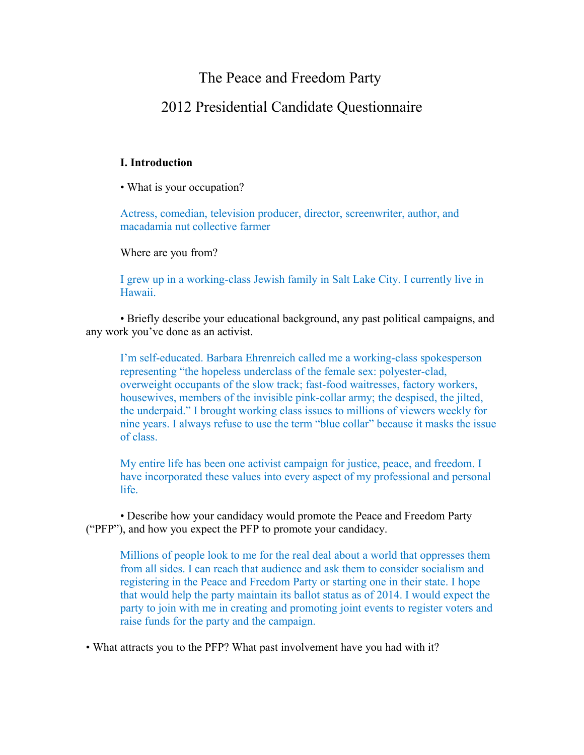## The Peace and Freedom Party

## 2012 Presidential Candidate Questionnaire

## **I. Introduction**

• What is your occupation?

Actress, comedian, television producer, director, screenwriter, author, and macadamia nut collective farmer

Where are you from?

I grew up in a working-class Jewish family in Salt Lake City. I currently live in Hawaii.

• Briefly describe your educational background, any past political campaigns, and any work you've done as an activist.

I'm self-educated. Barbara Ehrenreich called me a working-class spokesperson representing "the hopeless underclass of the female sex: polyester-clad, overweight occupants of the slow track; fast-food waitresses, factory workers, housewives, members of the invisible pink-collar army; the despised, the jilted, the underpaid." I brought working class issues to millions of viewers weekly for nine years. I always refuse to use the term "blue collar" because it masks the issue of class.

My entire life has been one activist campaign for justice, peace, and freedom. I have incorporated these values into every aspect of my professional and personal life.

• Describe how your candidacy would promote the Peace and Freedom Party ("PFP"), and how you expect the PFP to promote your candidacy.

Millions of people look to me for the real deal about a world that oppresses them from all sides. I can reach that audience and ask them to consider socialism and registering in the Peace and Freedom Party or starting one in their state. I hope that would help the party maintain its ballot status as of 2014. I would expect the party to join with me in creating and promoting joint events to register voters and raise funds for the party and the campaign.

• What attracts you to the PFP? What past involvement have you had with it?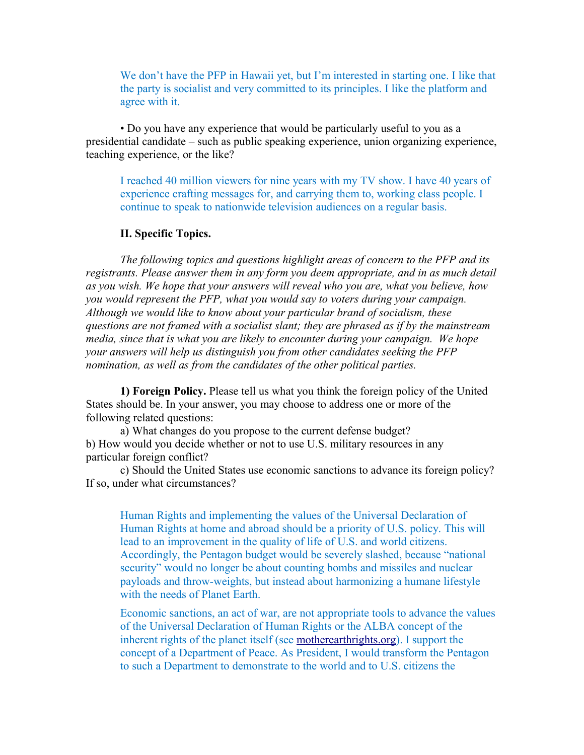We don't have the PFP in Hawaii yet, but I'm interested in starting one. I like that the party is socialist and very committed to its principles. I like the platform and agree with it.

• Do you have any experience that would be particularly useful to you as a presidential candidate – such as public speaking experience, union organizing experience, teaching experience, or the like?

I reached 40 million viewers for nine years with my TV show. I have 40 years of experience crafting messages for, and carrying them to, working class people. I continue to speak to nationwide television audiences on a regular basis.

## **II. Specific Topics.**

*The following topics and questions highlight areas of concern to the PFP and its registrants. Please answer them in any form you deem appropriate, and in as much detail as you wish. We hope that your answers will reveal who you are, what you believe, how you would represent the PFP, what you would say to voters during your campaign. Although we would like to know about your particular brand of socialism, these questions are not framed with a socialist slant; they are phrased as if by the mainstream media, since that is what you are likely to encounter during your campaign. We hope your answers will help us distinguish you from other candidates seeking the PFP nomination, as well as from the candidates of the other political parties.* 

**1) Foreign Policy.** Please tell us what you think the foreign policy of the United States should be. In your answer, you may choose to address one or more of the following related questions:

a) What changes do you propose to the current defense budget? b) How would you decide whether or not to use U.S. military resources in any particular foreign conflict?

c) Should the United States use economic sanctions to advance its foreign policy? If so, under what circumstances?

Human Rights and implementing the values of the Universal Declaration of Human Rights at home and abroad should be a priority of U.S. policy. This will lead to an improvement in the quality of life of U.S. and world citizens. Accordingly, the Pentagon budget would be severely slashed, because "national security" would no longer be about counting bombs and missiles and nuclear payloads and throw-weights, but instead about harmonizing a humane lifestyle with the needs of Planet Earth.

Economic sanctions, an act of war, are not appropriate tools to advance the values of the Universal Declaration of Human Rights or the ALBA concept of the inherent rights of the planet itself (see [motherearthrights.org\)](http://motherearthrights.org/2009/10/17/vii-alba-tcp-summit-special-declaration-for-a-universal-declaration-of-mother-earth-rights/). I support the concept of a Department of Peace. As President, I would transform the Pentagon to such a Department to demonstrate to the world and to U.S. citizens the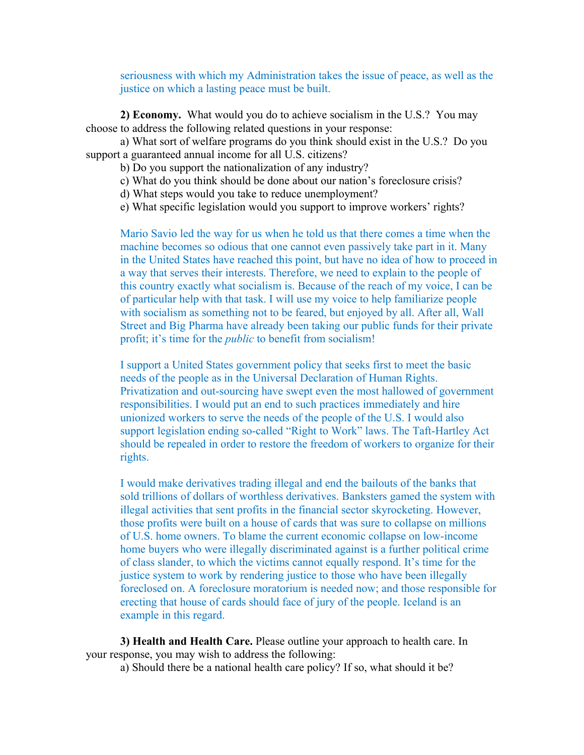seriousness with which my Administration takes the issue of peace, as well as the justice on which a lasting peace must be built.

**2) Economy.** What would you do to achieve socialism in the U.S.? You may choose to address the following related questions in your response:

a) What sort of welfare programs do you think should exist in the U.S.? Do you support a guaranteed annual income for all U.S. citizens?

b) Do you support the nationalization of any industry?

c) What do you think should be done about our nation's foreclosure crisis?

d) What steps would you take to reduce unemployment?

e) What specific legislation would you support to improve workers' rights?

Mario Savio led the way for us when he told us that there comes a time when the machine becomes so odious that one cannot even passively take part in it. Many in the United States have reached this point, but have no idea of how to proceed in a way that serves their interests. Therefore, we need to explain to the people of this country exactly what socialism is. Because of the reach of my voice, I can be of particular help with that task. I will use my voice to help familiarize people with socialism as something not to be feared, but enjoyed by all. After all, Wall Street and Big Pharma have already been taking our public funds for their private profit; it's time for the *public* to benefit from socialism!

I support a United States government policy that seeks first to meet the basic needs of the people as in the Universal Declaration of Human Rights. Privatization and out-sourcing have swept even the most hallowed of government responsibilities. I would put an end to such practices immediately and hire unionized workers to serve the needs of the people of the U.S. I would also support legislation ending so-called "Right to Work" laws. The Taft-Hartley Act should be repealed in order to restore the freedom of workers to organize for their rights.

I would make derivatives trading illegal and end the bailouts of the banks that sold trillions of dollars of worthless derivatives. Banksters gamed the system with illegal activities that sent profits in the financial sector skyrocketing. However, those profits were built on a house of cards that was sure to collapse on millions of U.S. home owners. To blame the current economic collapse on low-income home buyers who were illegally discriminated against is a further political crime of class slander, to which the victims cannot equally respond. It's time for the justice system to work by rendering justice to those who have been illegally foreclosed on. A foreclosure moratorium is needed now; and those responsible for erecting that house of cards should face of jury of the people. Iceland is an example in this regard.

**3) Health and Health Care.** Please outline your approach to health care. In your response, you may wish to address the following:

a) Should there be a national health care policy? If so, what should it be?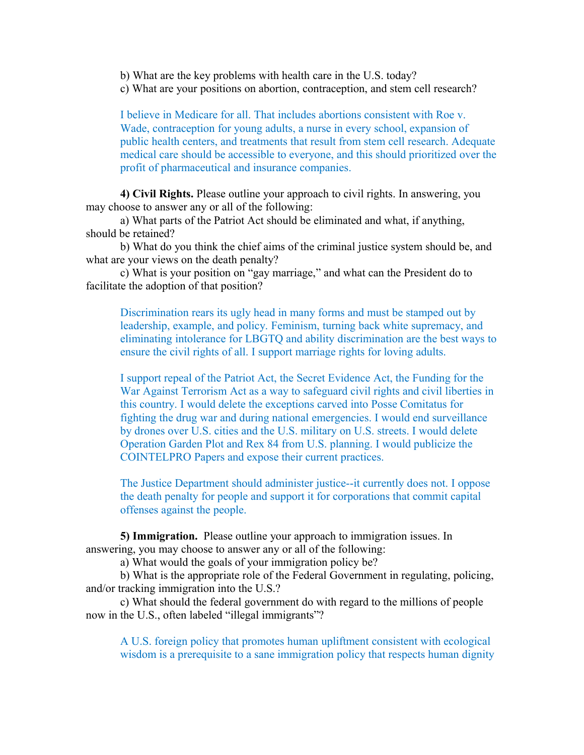b) What are the key problems with health care in the U.S. today?

c) What are your positions on abortion, contraception, and stem cell research?

I believe in Medicare for all. That includes abortions consistent with Roe v. Wade, contraception for young adults, a nurse in every school, expansion of public health centers, and treatments that result from stem cell research. Adequate medical care should be accessible to everyone, and this should prioritized over the profit of pharmaceutical and insurance companies.

**4) Civil Rights.** Please outline your approach to civil rights. In answering, you may choose to answer any or all of the following:

a) What parts of the Patriot Act should be eliminated and what, if anything, should be retained?

b) What do you think the chief aims of the criminal justice system should be, and what are your views on the death penalty?

c) What is your position on "gay marriage," and what can the President do to facilitate the adoption of that position?

Discrimination rears its ugly head in many forms and must be stamped out by leadership, example, and policy. Feminism, turning back white supremacy, and eliminating intolerance for LBGTQ and ability discrimination are the best ways to ensure the civil rights of all. I support marriage rights for loving adults.

I support repeal of the Patriot Act, the Secret Evidence Act, the Funding for the War Against Terrorism Act as a way to safeguard civil rights and civil liberties in this country. I would delete the exceptions carved into Posse Comitatus for fighting the drug war and during national emergencies. I would end surveillance by drones over U.S. cities and the U.S. military on U.S. streets. I would delete Operation Garden Plot and Rex 84 from U.S. planning. I would publicize the COINTELPRO Papers and expose their current practices.

The Justice Department should administer justice--it currently does not. I oppose the death penalty for people and support it for corporations that commit capital offenses against the people.

**5) Immigration.** Please outline your approach to immigration issues. In answering, you may choose to answer any or all of the following:

a) What would the goals of your immigration policy be?

b) What is the appropriate role of the Federal Government in regulating, policing, and/or tracking immigration into the U.S.?

c) What should the federal government do with regard to the millions of people now in the U.S., often labeled "illegal immigrants"?

A U.S. foreign policy that promotes human upliftment consistent with ecological wisdom is a prerequisite to a sane immigration policy that respects human dignity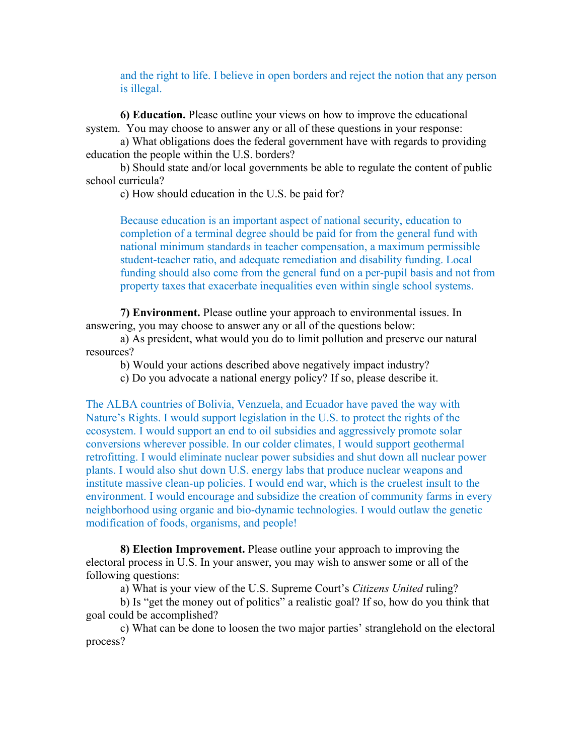and the right to life. I believe in open borders and reject the notion that any person is illegal.

**6) Education.** Please outline your views on how to improve the educational system. You may choose to answer any or all of these questions in your response:

a) What obligations does the federal government have with regards to providing education the people within the U.S. borders?

b) Should state and/or local governments be able to regulate the content of public school curricula?

c) How should education in the U.S. be paid for?

Because education is an important aspect of national security, education to completion of a terminal degree should be paid for from the general fund with national minimum standards in teacher compensation, a maximum permissible student-teacher ratio, and adequate remediation and disability funding. Local funding should also come from the general fund on a per-pupil basis and not from property taxes that exacerbate inequalities even within single school systems.

**7) Environment.** Please outline your approach to environmental issues. In answering, you may choose to answer any or all of the questions below:

a) As president, what would you do to limit pollution and preserve our natural resources?

b) Would your actions described above negatively impact industry?

c) Do you advocate a national energy policy? If so, please describe it.

The ALBA countries of Bolivia, Venzuela, and Ecuador have paved the way with Nature's Rights. I would support legislation in the U.S. to protect the rights of the ecosystem. I would support an end to oil subsidies and aggressively promote solar conversions wherever possible. In our colder climates, I would support geothermal retrofitting. I would eliminate nuclear power subsidies and shut down all nuclear power plants. I would also shut down U.S. energy labs that produce nuclear weapons and institute massive clean-up policies. I would end war, which is the cruelest insult to the environment. I would encourage and subsidize the creation of community farms in every neighborhood using organic and bio-dynamic technologies. I would outlaw the genetic modification of foods, organisms, and people!

**8) Election Improvement.** Please outline your approach to improving the electoral process in U.S. In your answer, you may wish to answer some or all of the following questions:

a) What is your view of the U.S. Supreme Court's *Citizens United* ruling?

b) Is "get the money out of politics" a realistic goal? If so, how do you think that goal could be accomplished?

c) What can be done to loosen the two major parties' stranglehold on the electoral process?